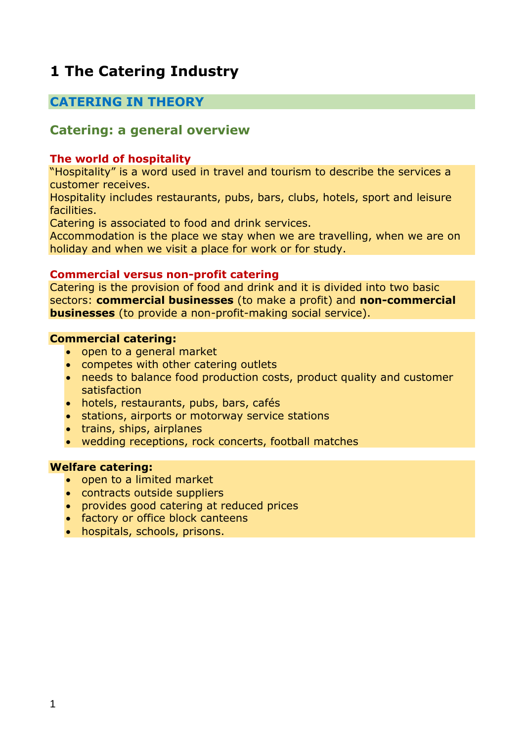# **1 The Catering Industry**

## **CATERING IN THEORY**

## **Catering: a general overview**

#### **The world of hospitality**

"Hospitality" is a word used in travel and tourism to describe the services a customer receives.

Hospitality includes restaurants, pubs, bars, clubs, hotels, sport and leisure facilities.

Catering is associated to food and drink services.

Accommodation is the place we stay when we are travelling, when we are on holiday and when we visit a place for work or for study.

#### **Commercial versus non-profit catering**

Catering is the provision of food and drink and it is divided into two basic sectors: **commercial businesses** (to make a profit) and **non-commercial businesses** (to provide a non-profit-making social service).

#### **Commercial catering:**

- open to a general market
- competes with other catering outlets
- needs to balance food production costs, product quality and customer satisfaction
- hotels, restaurants, pubs, bars, cafés
- stations, airports or motorway service stations
- trains, ships, airplanes
- wedding receptions, rock concerts, football matches

#### **Welfare catering:**

- open to a limited market
- contracts outside suppliers
- provides good catering at reduced prices
- factory or office block canteens
- hospitals, schools, prisons.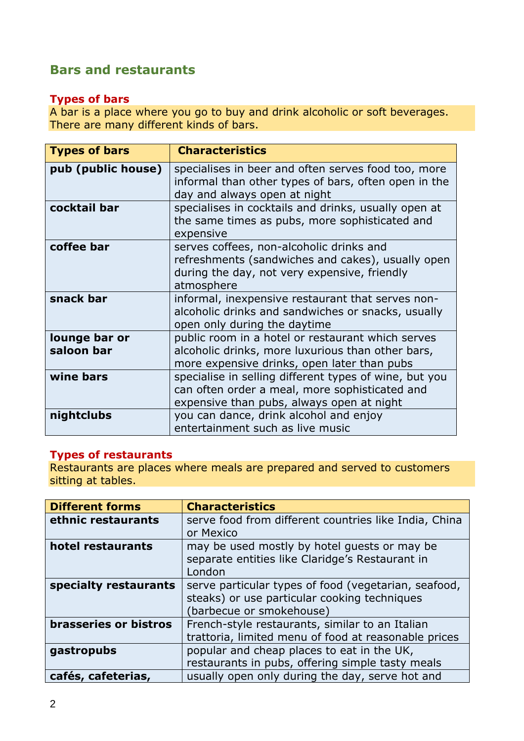# **Bars and restaurants**

## **Types of bars**

A bar is a place where you go to buy and drink alcoholic or soft beverages. There are many different kinds of bars.

| <b>Types of bars</b>        | <b>Characteristics</b>                                                                                                                                      |
|-----------------------------|-------------------------------------------------------------------------------------------------------------------------------------------------------------|
| pub (public house)          | specialises in beer and often serves food too, more<br>informal than other types of bars, often open in the<br>day and always open at night                 |
| cocktail bar                | specialises in cocktails and drinks, usually open at<br>the same times as pubs, more sophisticated and<br>expensive                                         |
| coffee bar                  | serves coffees, non-alcoholic drinks and<br>refreshments (sandwiches and cakes), usually open<br>during the day, not very expensive, friendly<br>atmosphere |
| snack bar                   | informal, inexpensive restaurant that serves non-<br>alcoholic drinks and sandwiches or snacks, usually<br>open only during the daytime                     |
| lounge bar or<br>saloon bar | public room in a hotel or restaurant which serves<br>alcoholic drinks, more luxurious than other bars,<br>more expensive drinks, open later than pubs       |
| wine bars                   | specialise in selling different types of wine, but you<br>can often order a meal, more sophisticated and<br>expensive than pubs, always open at night       |
| nightclubs                  | you can dance, drink alcohol and enjoy<br>entertainment such as live music                                                                                  |

## **Types of restaurants**

Restaurants are places where meals are prepared and served to customers sitting at tables.

| <b>Different forms</b> | <b>Characteristics</b>                                |  |
|------------------------|-------------------------------------------------------|--|
| ethnic restaurants     | serve food from different countries like India, China |  |
|                        | or Mexico                                             |  |
| hotel restaurants      | may be used mostly by hotel quests or may be          |  |
|                        | separate entities like Claridge's Restaurant in       |  |
|                        | London                                                |  |
| specialty restaurants  | serve particular types of food (vegetarian, seafood,  |  |
|                        | steaks) or use particular cooking techniques          |  |
|                        | barbecue or smokehouse)                               |  |
| brasseries or bistros  | French-style restaurants, similar to an Italian       |  |
|                        | trattoria, limited menu of food at reasonable prices  |  |
| gastropubs             | popular and cheap places to eat in the UK,            |  |
|                        | restaurants in pubs, offering simple tasty meals      |  |
| cafés, cafeterias,     | usually open only during the day, serve hot and       |  |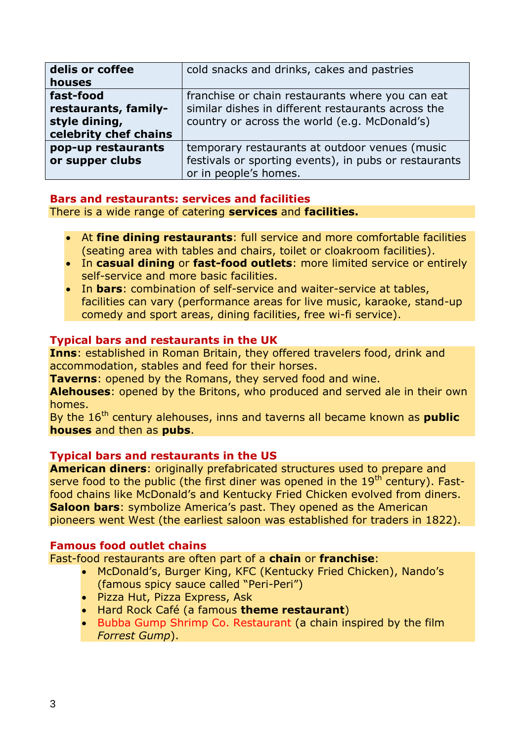| delis or coffee<br>houses                                                   | cold snacks and drinks, cakes and pastries                                                                                                              |
|-----------------------------------------------------------------------------|---------------------------------------------------------------------------------------------------------------------------------------------------------|
| fast-food<br>restaurants, family-<br>style dining,<br>celebrity chef chains | franchise or chain restaurants where you can eat<br>similar dishes in different restaurants across the<br>country or across the world (e.g. McDonald's) |
| pop-up restaurants<br>or supper clubs                                       | temporary restaurants at outdoor venues (music<br>festivals or sporting events), in pubs or restaurants<br>or in people's homes.                        |

## **Bars and restaurants: services and facilities**

There is a wide range of catering **services** and **facilities.**

- At **fine dining restaurants**: full service and more comfortable facilities (seating area with tables and chairs, toilet or cloakroom facilities).
- In **casual dining** or **fast-food outlets**: more limited service or entirely self-service and more basic facilities.
- In **bars**: combination of self-service and waiter-service at tables, facilities can vary (performance areas for live music, karaoke, stand-up comedy and sport areas, dining facilities, free wi-fi service).

## **Typical bars and restaurants in the UK**

**Inns**: established in Roman Britain, they offered travelers food, drink and accommodation, stables and feed for their horses.

**Taverns**: opened by the Romans, they served food and wine.

**Alehouses**: opened by the Britons, who produced and served ale in their own homes.

By the 16<sup>th</sup> century alehouses, inns and taverns all became known as **public houses** and then as **pubs**.

## **Typical bars and restaurants in the US**

**American diners**: originally prefabricated structures used to prepare and serve food to the public (the first diner was opened in the  $19<sup>th</sup>$  century). Fastfood chains like McDonald's and Kentucky Fried Chicken evolved from diners. **Saloon bars**: symbolize America's past. They opened as the American pioneers went West (the earliest saloon was established for traders in 1822).

#### **Famous food outlet chains**

Fast-food restaurants are often part of a **chain** or **franchise**:

- McDonald's, Burger King, KFC (Kentucky Fried Chicken), Nando's (famous spicy sauce called "Peri-Peri")
- Pizza Hut, Pizza Express, Ask
- Hard Rock Café (a famous **theme restaurant**)
- Bubba Gump Shrimp Co. Restaurant (a chain inspired by the film *Forrest Gump*).